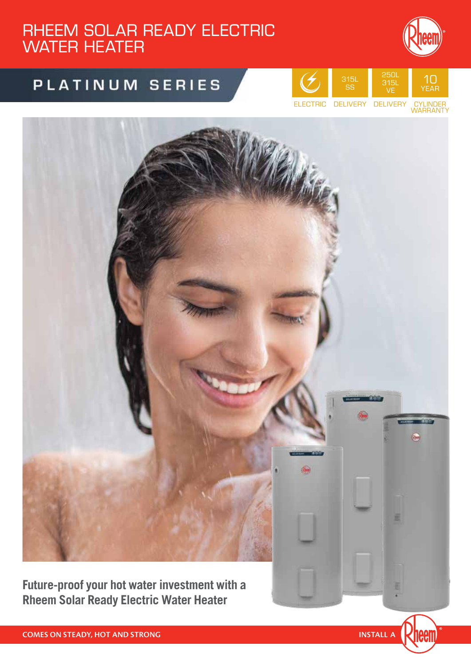## RHEEM SOLAR READY ELECTRIC WATER HEATER

# PLATINUM SERIES





**Future-proof your hot water investment with a Rheem Solar Ready Electric Water Heater**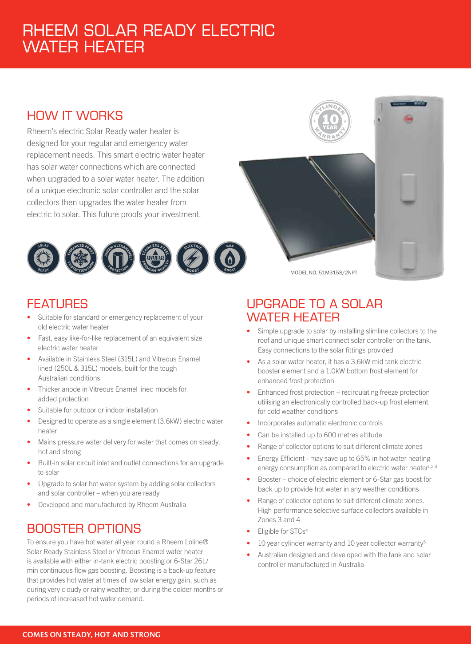## RHEEM SOLAR READY ELECTRIC WATER HEATER

## HOW IT WORKS

Rheem's electric Solar Ready water heater is designed for your regular and emergency water replacement needs. This smart electric water heater has solar water connections which are connected when upgraded to a solar water heater. The addition of a unique electronic solar controller and the solar collectors then upgrades the water heater from electric to solar. This future proofs your investment.



### **FEATURES**

- Suitable for standard or emergency replacement of your old electric water heater
- Fast, easy like-for-like replacement of an equivalent size electric water heater
- Available in Stainless Steel (315L) and Vitreous Enamel lined (250L & 315L) models, built for the tough Australian conditions
- Thicker anode in Vitreous Enamel lined models for added protection
- Suitable for outdoor or indoor installation
- Designed to operate as a single element (3.6kW) electric water heater
- Mains pressure water delivery for water that comes on steady, hot and strong
- Built-in solar circuit inlet and outlet connections for an upgrade to solar
- Upgrade to solar hot water system by adding solar collectors and solar controller – when you are ready
- Developed and manufactured by Rheem Australia

### BOOSTER OPTIONS

To ensure you have hot water all year round a Rheem Loline® Solar Ready Stainless Steel or Vitreous Enamel water heater is available with either in-tank electric boosting or 6-Star 26L/ min continuous flow gas boosting. Boosting is a back-up feature that provides hot water at times of low solar energy gain, such as during very cloudy or rainy weather, or during the colder months or periods of increased hot water demand.

### UPGRADE TO A SOLAR WATER HEATER

MODEL NO. 51M315S/2NPT

- Simple upgrade to solar by installing slimline collectors to the roof and unique smart connect solar controller on the tank. Easy connections to the solar fittings provided
- As a solar water heater, it has a 3.6kW mid tank electric booster element and a 1.0kW bottom frost element for enhanced frost protection
- Enhanced frost protection recirculating freeze protection utilising an electronically controlled back-up frost element for cold weather conditions
- Incorporates automatic electronic controls
- Can be installed up to 600 metres altitude
- Range of collector options to suit different climate zones
- Energy Efficient may save up to 65% in hot water heating energy consumption as compared to electric water heater<sup>1,2,3</sup>
- Booster choice of electric element or 6-Star gas boost for back up to provide hot water in any weather conditions
- Range of collector options to suit different climate zones. High performance selective surface collectors available in Zones 3 and 4
- Eligible for STCs4
- 10 year cylinder warranty and 10 year collector warranty<sup>5</sup>
- Australian designed and developed with the tank and solar controller manufactured in Australia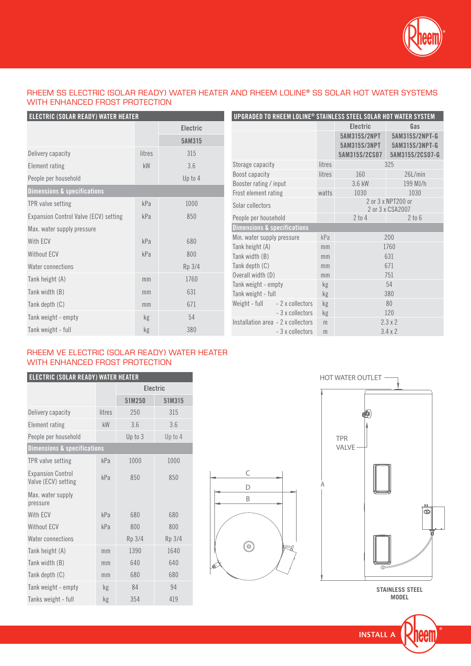

#### RHEEM SS ELECTRIC (SOLAR READY) WATER HEATER AND RHEEM LOLINE® SS SOLAR HOT WATER SYSTEMS WITH ENHANCED FROST PROTECTION

D B

 $\circledcirc$ 

C

| ELECTRIC (SOLAR READY) WATER HEATER    |        |                 |
|----------------------------------------|--------|-----------------|
|                                        |        | <b>Electric</b> |
|                                        |        | 5AM315          |
| Delivery capacity                      | litres | 315             |
| Element rating                         | kW     | 3.6             |
| People per household                   |        | Up to 4         |
| <b>Dimensions &amp; specifications</b> |        |                 |
| TPR valve setting                      | kPa    | 1000            |
| Expansion Control Valve (ECV) setting  | kPa    | 850             |
| Max. water supply pressure             |        |                 |
| With ECV                               | kPa    | 680             |
| Without ECV                            | kPa    | 800             |
| Water connections                      |        | Rp 3/4          |
| Tank height (A)                        | mm     | 1760            |
| Tank width (B)                         | mm     | 631             |
| Tank depth (C)                         | mm     | 671             |
| Tank weight - empty                    | kg     | 54              |
| Tank weight - full                     | kg     | 380             |

| UPGRADED TO RHEEM LOLINE® STAINLESS STEEL SOLAR HOT WATER SYSTEM |        |                              |                                         |  |
|------------------------------------------------------------------|--------|------------------------------|-----------------------------------------|--|
|                                                                  |        | <b>Electric</b>              | Gas                                     |  |
|                                                                  |        | 5AM315S/2NPT<br>5AM315S/3NPT | 5AM315S/2NPT-G<br>5AM315S/3NPT-G        |  |
|                                                                  |        | 5AM315S/2CS07                | 5AM315S/2CS07-G                         |  |
| Storage capacity                                                 | litres |                              | 325                                     |  |
| Boost capacity                                                   | litres | 160                          | 26L/min                                 |  |
| Booster rating / input                                           |        | 3.6 kW                       | 199 MJ/h                                |  |
| Frost element rating                                             | watts  | 1030                         | 1030                                    |  |
| Solar collectors                                                 |        |                              | 2 or 3 x NPT 200 or<br>2 or 3 x CSA2007 |  |
| People per household                                             |        | $2$ to $4$                   | $2$ to $6$                              |  |
| <b>Dimensions &amp; specifications</b>                           |        |                              |                                         |  |
| Min. water supply pressure                                       | kPa    |                              | 200                                     |  |
| Tank height (A)                                                  | mm     |                              | 1760                                    |  |
| Tank width (B)                                                   | mm     |                              | 631                                     |  |
| Tank depth (C)                                                   | mm     |                              | 671                                     |  |
| Overall width (D)                                                | mm     |                              | 751                                     |  |
| Tank weight - empty                                              | kg     |                              | 54                                      |  |
| Tank weight - full                                               | kg     |                              | 380                                     |  |
| Weight - full - 2 x collectors                                   | kg     |                              | 80                                      |  |
| - 3 x collectors                                                 | kg     |                              | 120                                     |  |
| Installation area - 2 x collectors                               | m      |                              | $2.3 \times 2$                          |  |
| -3 x collectors                                                  | m      |                              | $3.4 \times 2$                          |  |

#### RHEEM VE ELECTRIC (SOLAR READY) WATER HEATER WITH ENHANCED FROST PROTECTION

| <b>ELECTRIC (SOLAR READY) WATER HEATER</b>      |        |                 |         |  |  |
|-------------------------------------------------|--------|-----------------|---------|--|--|
|                                                 |        | <b>Electric</b> |         |  |  |
|                                                 |        | 51M250          | 51M315  |  |  |
| Delivery capacity                               | litres | 250             | 315     |  |  |
| <b>Element rating</b>                           | kW     | 3.6             | 3.6     |  |  |
| People per household                            |        | Up to 3         | Up to 4 |  |  |
| <b>Dimensions &amp; specifications</b>          |        |                 |         |  |  |
| TPR valve setting                               | kPa    | 1000            | 1000    |  |  |
| <b>Expansion Control</b><br>Valve (ECV) setting | kPa    | 850             | 850     |  |  |
| Max. water supply<br>pressure                   |        |                 |         |  |  |
| With ECV                                        | kPa    | 680             | 680     |  |  |
| <b>Without ECV</b>                              | kPa    | 800             | 800     |  |  |
| Water connections                               |        | Rp 3/4          | Rp 3/4  |  |  |
| Tank height (A)                                 | mm     | 1390            | 1640    |  |  |
| Tank width (B)                                  | mm     | 640             | 640     |  |  |
| Tank depth (C)                                  | mm     | 680             | 680     |  |  |
| Tank weight - empty                             | kg     | 84              | 94      |  |  |
| Tanks weight - full                             | kg     | 354             | 419     |  |  |



**STAINLESS STEEL MODEL**

**INSTALL A**